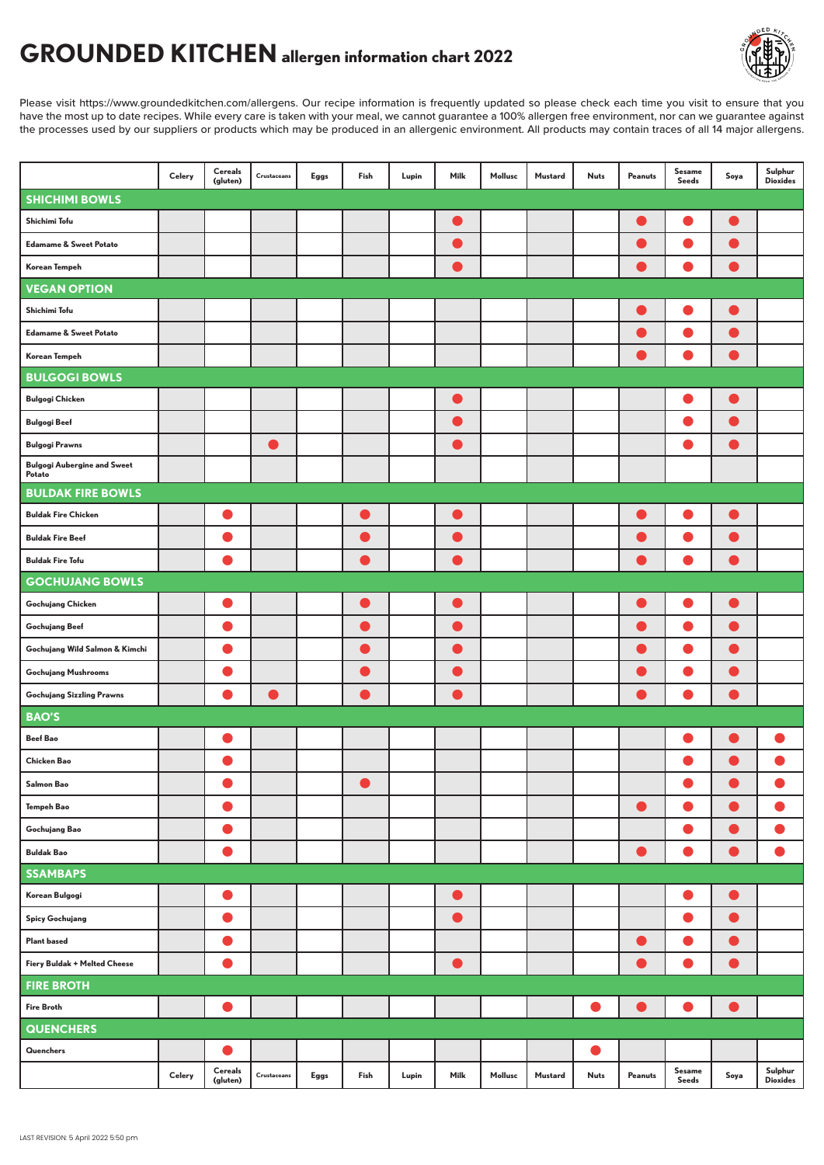## **GROUNDED KITCHEN allergen information chart 2022**

Please visit https://www.groundedkitchen.com/allergens. Our recipe information is frequently updated so please check each time you visit to ensure that you have the most up to date recipes. While every care is taken with your meal, we cannot guarantee a 100% allergen free environment, nor can we guarantee against the processes used by our suppliers or products which may be produced in an allergenic environment. All products may contain traces of all 14 major allergens.

|                                              | Celery | <b>Cereals</b><br>(gluten) | Crustaceans                                                                          | Eggs | Fish      | Lupin | Milk      | Mollusc | Mustard | <b>Nuts</b> | Peanuts   | <b>Sesame</b><br>Seeds | Soya      | Sulphur<br><b>Dioxides</b> |
|----------------------------------------------|--------|----------------------------|--------------------------------------------------------------------------------------|------|-----------|-------|-----------|---------|---------|-------------|-----------|------------------------|-----------|----------------------------|
| <b>SHICHIMI BOWLS</b>                        |        |                            |                                                                                      |      |           |       |           |         |         |             |           |                        |           |                            |
| Shichimi Tofu                                |        |                            |                                                                                      |      |           |       |           |         |         |             |           |                        |           |                            |
| <b>Edamame &amp; Sweet Potato</b>            |        |                            |                                                                                      |      |           |       | O         |         |         |             | $\bullet$ | O                      | Œ         |                            |
| Korean Tempeh                                |        |                            |                                                                                      |      |           |       |           |         |         |             |           |                        |           |                            |
| <b>VEGAN OPTION</b>                          |        |                            |                                                                                      |      |           |       |           |         |         |             |           |                        |           |                            |
| Shichimi Tofu                                |        |                            |                                                                                      |      |           |       |           |         |         |             | $\bullet$ |                        | $\bullet$ |                            |
| <b>Edamame &amp; Sweet Potato</b>            |        |                            |                                                                                      |      |           |       |           |         |         |             | $\bullet$ | $\bullet$              | $\bullet$ |                            |
| Korean Tempeh                                |        |                            |                                                                                      |      |           |       |           |         |         |             |           |                        | o.        |                            |
| <b>BULGOGI BOWLS</b>                         |        |                            |                                                                                      |      |           |       |           |         |         |             |           |                        |           |                            |
| <b>Bulgogi Chicken</b>                       |        |                            |                                                                                      |      |           |       | Œ         |         |         |             |           | O                      | 0         |                            |
| <b>Bulgogi Beef</b>                          |        |                            |                                                                                      |      |           |       | O         |         |         |             |           | O                      | $\bullet$ |                            |
| <b>Bulgogi Prawns</b>                        |        |                            | o                                                                                    |      |           |       | Œ         |         |         |             |           | O                      | ●         |                            |
| <b>Bulgogi Aubergine and Sweet</b><br>Potato |        |                            |                                                                                      |      |           |       |           |         |         |             |           |                        |           |                            |
| <b>BULDAK FIRE BOWLS</b>                     |        |                            |                                                                                      |      |           |       |           |         |         |             |           |                        |           |                            |
| <b>Buldak Fire Chicken</b>                   |        |                            |                                                                                      |      | ۰         |       | O         |         |         |             | $\bullet$ | 0                      | $\bullet$ |                            |
| <b>Buldak Fire Beef</b>                      |        |                            |                                                                                      |      | $\bullet$ |       | $\bullet$ |         |         |             |           | $\bullet$              | $\bullet$ |                            |
| <b>Buldak Fire Tofu</b>                      |        |                            |                                                                                      |      |           |       |           |         |         |             |           |                        |           |                            |
| <b>GOCHUJANG BOWLS</b>                       |        |                            |                                                                                      |      |           |       |           |         |         |             |           |                        |           |                            |
| Gochujang Chicken                            |        |                            |                                                                                      |      |           |       | O         |         |         |             |           |                        | c.        |                            |
| Gochujang Beef                               |        |                            |                                                                                      |      |           |       | $\bullet$ |         |         |             | $\bullet$ | O                      | O         |                            |
| Gochujang Wild Salmon & Kimchi               |        |                            |                                                                                      |      |           |       | O         |         |         |             | $\bullet$ | O                      | 0         |                            |
| <b>Gochujang Mushrooms</b>                   |        |                            |                                                                                      |      | D         |       | $\bullet$ |         |         |             | $\bullet$ | $\bullet$              | $\bullet$ |                            |
| <b>Gochujang Sizzling Prawns</b>             |        |                            |                                                                                      |      |           |       |           |         |         |             |           |                        |           |                            |
| <b>BAO'S</b>                                 |        |                            |                                                                                      |      |           |       |           |         |         |             |           |                        |           |                            |
| <b>Beef Bao</b>                              |        | O                          |                                                                                      |      |           |       |           |         |         |             |           | O                      | c         |                            |
| Chicken Bao                                  |        |                            |                                                                                      |      |           |       |           |         |         |             |           |                        | ●         |                            |
| Salmon Bao                                   |        |                            |                                                                                      |      |           |       |           |         |         |             |           |                        | $\bullet$ |                            |
| Tempeh Bao                                   |        | $\bullet$                  |                                                                                      |      |           |       |           |         |         |             | $\bullet$ | $\bullet$              | $\bullet$ | $\bullet$                  |
| Gochujang Bao                                |        | $\bullet$                  |                                                                                      |      |           |       |           |         |         |             |           | $\bullet$              | $\bullet$ | $\bullet$                  |
| <b>Buldak Bao</b>                            |        | 0                          |                                                                                      |      |           |       |           |         |         |             | $\bullet$ | $\bullet$              | $\bullet$ | $\bullet$                  |
| <b>SSAMBAPS</b>                              |        |                            |                                                                                      |      |           |       |           |         |         |             |           |                        |           |                            |
| Korean Bulgogi                               |        | $\bullet$                  |                                                                                      |      |           |       | $\bullet$ |         |         |             |           | $\bullet$              | $\bullet$ |                            |
| <b>Spicy Gochujang</b>                       |        | $\bullet$                  |                                                                                      |      |           |       | $\bullet$ |         |         |             |           | $\bullet$              | D         |                            |
| <b>Plant based</b>                           |        | O                          |                                                                                      |      |           |       |           |         |         |             | $\bullet$ | $\bullet$              | $\bullet$ |                            |
| Fiery Buldak + Melted Cheese                 |        | $\bullet$                  |                                                                                      |      |           |       | $\bullet$ |         |         |             | $\bullet$ | $\bullet$              | $\bullet$ |                            |
| <b>FIRE BROTH</b>                            |        |                            |                                                                                      |      |           |       |           |         |         |             |           |                        |           |                            |
| <b>Fire Broth</b>                            |        |                            |                                                                                      |      |           |       |           |         |         |             |           |                        |           |                            |
| <b>QUENCHERS</b>                             |        |                            |                                                                                      |      |           |       |           |         |         |             |           |                        |           |                            |
| Quenchers                                    |        | O                          |                                                                                      |      |           |       |           |         |         |             |           |                        |           |                            |
|                                              | Celery | Cereals<br>(gluten)        | $\begin{minipage}{.4\linewidth} \textbf{Crustaceans} \end{minipage} \vspace{-0.5em}$ | Eggs | Fish      | Lupin | Milk      | Mollusc | Mustard | <b>Nuts</b> | Peanuts   | Sesame<br>Seeds        | Soya      | Sulphur<br><b>Dioxides</b> |